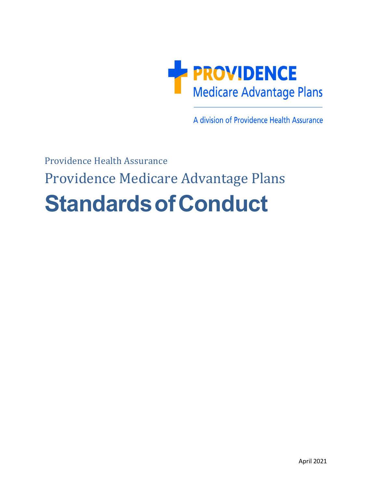

A division of Providence Health Assurance

# Providence Health Assurance Providence Medicare Advantage Plans **StandardsofConduct**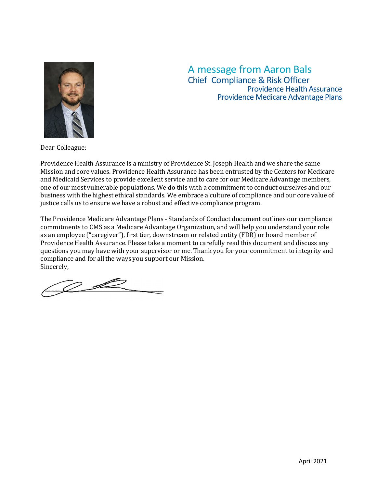

## A message from Aaron Bals Chief Compliance & Risk Officer Providence Health Assurance Providence Medicare Advantage Plans

Dear Colleague:

Providence Health Assurance is a ministry of Providence St. Joseph Health and we share the same Mission and core values. Providence Health Assurance has been entrusted by the Centers for Medicare and Medicaid Services to provide excellent service and to care for our Medicare Advantage members, one of our most vulnerable populations. We do this with a commitment to conduct ourselves and our business with the highest ethical standards. We embrace a culture of compliance and our core value of justice calls us to ensure we have a robust and effective compliance program.

The Providence Medicare Advantage Plans - Standards of Conduct document outlines our compliance commitments to CMS as a Medicare Advantage Organization, and will help you understand your role as an employee ("caregiver"), first tier, downstream or related entity (FDR) or board member of Providence Health Assurance. Please take a moment to carefully read this document and discuss any questions you may have with your supervisor or me. Thank you for your commitment to integrity and compliance and for all the ways you support our Mission. Sincerely,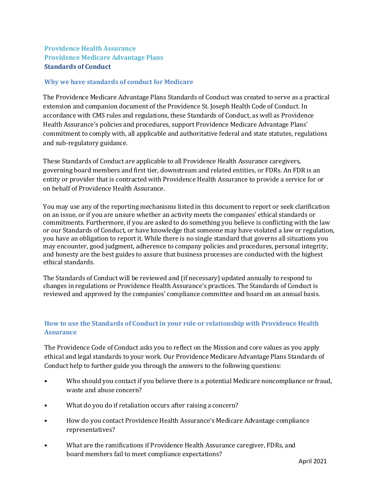### **Providence Health Assurance Providence Medicare Advantage Plans Standards of Conduct**

#### **Why we have standards of conduct for Medicare**

The Providence Medicare Advantage Plans Standards of Conduct was created to serve as a practical extension and companion document of the Providence St. Joseph Health Code of Conduct. In accordance with CMS rules and regulations, these Standards of Conduct, as well as Providence Health Assurance's policies and procedures, support Providence Medicare Advantage Plans' commitment to comply with, all applicable and authoritative federal and state statutes, regulations and sub-regulatory guidance.

These Standards of Conduct are applicable to all Providence Health Assurance caregivers, governing board members and first tier, downstream and related entities, or FDRs. An FDR is an entity or provider that is contracted with Providence Health Assurance to provide a service for or on behalf of Providence Health Assurance.

You may use any of the reporting mechanisms listed in this document to report or seek clarification on an issue, or if you are unsure whether an activity meets the companies' ethical standards or commitments. Furthermore, if you are asked to do something you believe is conflicting with the law or our Standards of Conduct, or have knowledge that someone may have violated a law or regulation, you have an obligation to report it. While there is no single standard that governs all situations you may encounter, good judgment, adherence to company policies and procedures, personal integrity, and honesty are the best guides to assure that business processes are conducted with the highest ethical standards.

The Standards of Conduct will be reviewed and (if necessary) updated annually to respond to changes in regulations or Providence Health Assurance's practices. The Standards of Conduct is reviewed and approved by the companies' compliance committee and board on an annual basis.

#### **How to use the Standards of Conduct in your role or relationship with Providence Health Assurance**

The Providence Code of Conduct asks you to reflect on the Mission and core values as you apply ethical and legal standards to your work. Our Providence Medicare Advantage Plans Standards of Conduct help to further guide you through the answers to the following questions:

- Who should you contact if you believe there is a potential Medicare noncompliance or fraud, waste and abuse concern?
- What do you do if retaliation occurs after raising a concern?
- How do you contact Providence Health Assurance's Medicare Advantage compliance representatives?
- What are the ramifications if Providence Health Assurance caregiver, FDRs, and board members fail to meet compliance expectations?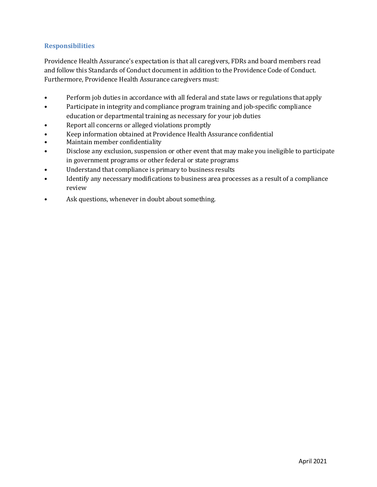#### **Responsibilities**

Providence Health Assurance's expectation is that all caregivers, FDRs and board members read and follow this Standards of Conduct document in addition to the Providence Code of Conduct. Furthermore, Providence Health Assurance caregivers must:

- Perform job duties in accordance with all federal and state laws or regulations thatapply
- Participate in integrity and compliance program training and job-specific compliance education or departmental training as necessary for your jobduties
- Report all concerns or alleged violations promptly
- Keep information obtained at Providence Health Assurance confidential<br>• Maintain member confidentiality
- Maintain member confidentiality
- Disclose any exclusion, suspension or other event that may make you ineligible to participate in government programs or other federal or state programs
- Understand that compliance is primary to business results
- Identify any necessary modifications to business area processes as a result of a compliance review
- Ask questions, whenever in doubt about something.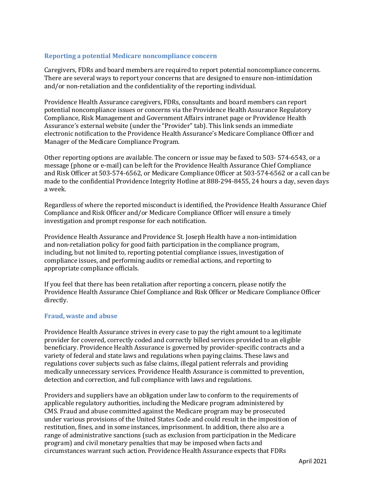#### **Reporting a potential Medicare noncompliance concern**

Caregivers, FDRs and board members are required to report potential noncompliance concerns. There are several ways to report your concerns that are designed to ensure non-intimidation and/or non-retaliation and the confidentiality of the reporting individual.

Providence Health Assurance caregivers, FDRs, consultants and board members can report potential noncompliance issues or concerns via the Providence Health Assurance Regulatory Compliance, Risk Management and Government Affairs intranet page or Providence Health Assurance's external website (under the "Provider" tab). This link sends an immediate electronic notification to the Providence Health Assurance's Medicare Compliance Officer and Manager of the Medicare Compliance Program.

Other reporting options are available. The concern or issue may be faxed to 503- 574-6543, or a message (phone or e-mail) can be left for the Providence Health Assurance Chief Compliance and Risk Officer at 503-574-6562, or Medicare Compliance Officer at 503-574-6562 or a call can be made to the confidential Providence Integrity Hotline at 888-294-8455, 24 hours a day, seven days a week.

Regardless of where the reported misconduct is identified, the Providence Health Assurance Chief Compliance and Risk Officer and/or Medicare Compliance Officer will ensure a timely investigation and prompt response for each notification.

Providence Health Assurance and Providence St. Joseph Health have a non-intimidation and non-retaliation policy for good faith participation in the compliance program, including, but not limited to, reporting potential compliance issues, investigation of compliance issues, and performing audits or remedial actions, and reporting to appropriate compliance officials.

If you feel that there has been retaliation after reporting a concern, please notify the Providence Health Assurance Chief Compliance and Risk Officer or Medicare Compliance Officer directly.

#### **Fraud, waste and abuse**

Providence Health Assurance strives in every case to pay the right amount to a legitimate provider for covered, correctly coded and correctly billed services provided to an eligible beneficiary. Providence Health Assurance is governed by provider-specific contracts and a variety of federal and state laws and regulations when paying claims. These laws and regulations cover subjects such as false claims, illegal patient referrals and providing medically unnecessary services. Providence Health Assurance is committed to prevention, detection and correction, and full compliance with laws and regulations.

Providers and suppliers have an obligation under law to conform to the requirements of applicable regulatory authorities, including the Medicare program administered by CMS. Fraud and abuse committed against the Medicare program may be prosecuted under various provisions of the United States Code and could result in the imposition of restitution, fines, and in some instances, imprisonment. In addition, there also are a range of administrative sanctions (such as exclusion from participation in the Medicare program) and civil monetary penalties that may be imposed when facts and circumstances warrant such action. Providence Health Assurance expects that FDRs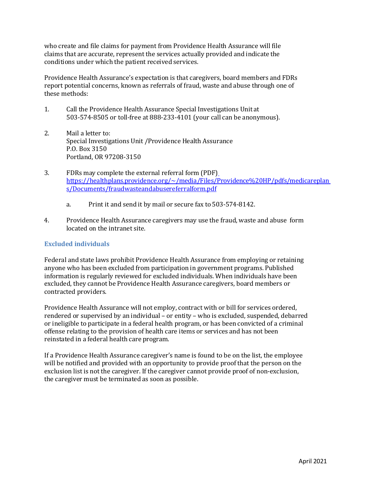who create and file claims for payment from Providence Health Assurance will file claims that are accurate, represent the services actually provided and indicate the conditions under which the patient received services.

Providence Health Assurance's expectation is that caregivers, board members and FDRs report potential concerns, known as referrals of fraud, waste and abuse through one of these methods:

- 1. Call the Providence Health Assurance Special Investigations Unit at 503-574-8505 or toll-free at 888-233-4101 (your call can be anonymous).
- 2. Mail a letter to: Special Investigations Unit /Providence Health Assurance P.O. Box 3150 Portland, OR 97208-3150
- 3. FDRs may complete the external referral form (PDF[\)](https://healthplans.providence.org/%7E/media/Files/Providence%20HP/pdfs/medicareplans/Documents/fraudwasteandabusereferralform.pdf) [https://healthplans.providence.org/~/media/Files/Providence%20HP/pdfs/medicareplan](https://healthplans.providence.org/%7E/media/Files/Providence%20HP/pdfs/medicareplans/Documents/fraudwasteandabusereferralform.pdf) [s/Documents/fraudwasteandabusereferralform.pdf](https://healthplans.providence.org/%7E/media/Files/Providence%20HP/pdfs/medicareplans/Documents/fraudwasteandabusereferralform.pdf)
	- a. Print it and send it by mail or secure fax to 503-574-8142.
- 4. Providence Health Assurance caregivers may use the fraud, waste and abuse form located on the intranet site.

#### **Excluded individuals**

Federal and state laws prohibit Providence Health Assurance from employing or retaining anyone who has been excluded from participation in government programs. Published information is regularly reviewed for excluded individuals. When individuals have been excluded, they cannot be Providence Health Assurance caregivers, board members or contracted providers.

Providence Health Assurance will not employ, contract with or bill for services ordered, rendered or supervised by an individual – or entity – who is excluded, suspended, debarred or ineligible to participate in a federal health program, or has been convicted of a criminal offense relating to the provision of health care items or services and has not been reinstated in a federal health care program.

If a Providence Health Assurance caregiver's name is found to be on the list, the employee will be notified and provided with an opportunity to provide proof that the person on the exclusion list is not the caregiver. If the caregiver cannot provide proof of non-exclusion, the caregiver must be terminated as soon as possible.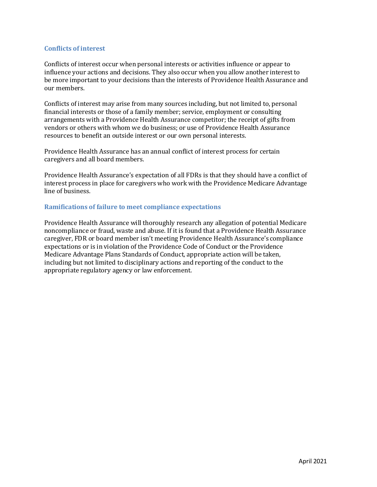#### **Conflicts of interest**

Conflicts of interest occur when personal interests or activities influence or appear to influence your actions and decisions. They also occur when you allow another interest to be more important to your decisions than the interests of Providence Health Assurance and our members.

Conflicts of interest may arise from many sources including, but not limited to, personal financial interests or those of a family member; service, employment or consulting arrangements with a Providence Health Assurance competitor; the receipt of gifts from vendors or others with whom we do business; or use of Providence Health Assurance resources to benefit an outside interest or our own personal interests.

Providence Health Assurance has an annual conflict of interest process for certain caregivers and all board members.

Providence Health Assurance's expectation of all FDRs is that they should have a conflict of interest process in place for caregivers who work with the Providence Medicare Advantage line of business.

#### **Ramifications of failure to meet compliance expectations**

Providence Health Assurance will thoroughly research any allegation of potential Medicare noncompliance or fraud, waste and abuse. If it is found that a Providence Health Assurance caregiver, FDR or board member isn't meeting Providence Health Assurance's compliance expectations or is in violation of the Providence Code of Conduct or the Providence Medicare Advantage Plans Standards of Conduct, appropriate action will be taken, including but not limited to disciplinary actions and reporting of the conduct to the appropriate regulatory agency or law enforcement.